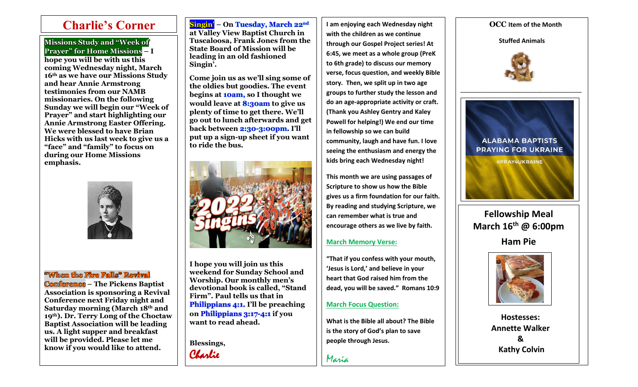$\overline{\phantom{a}}$ 

**Missions Study and "Week of Prayer" for Home Missions – I hope you will be with us this coming Wednesday night, March 16th as we have our Missions Study and hear Annie Armstrong testimonies from our NAMB missionaries. On the following Sunday we will begin our "Week of Prayer" and start highlighting our Annie Armstrong Easter Offering. We were blessed to have Brian Hicks with us last week to give us a "face" and "family" to focus on during our Home Missions emphasis.**



# **"When the Fire Falls" Revival**

**Conference – The Pickens Baptist Association is sponsoring a Revival Conference next Friday night and Saturday morning (March 18th and 19th). Dr. Terry Long of the Choctaw Baptist Association will be leading us. A light supper and breakfast will be provided. Please let me know if you would like to attend.**

# **Singin' – On Tuesday, March 22nd**

**at Valley View Baptist Church in Tuscaloosa, Frank Jones from the State Board of Mission will be leading in an old fashioned Singin'.** 

**Come join us as we'll sing some of the oldies but goodies. The event begins at 10am, so I thought we would leave at 8:30am to give us plenty of time to get there. We'll go out to lunch afterwards and get back between 2:30-3:00pm. I'll put up a sign-up sheet if you want to ride the bus.**



**I hope you will join us this weekend for Sunday School and Worship. Our monthly men's devotional book is called, "Stand Firm". Paul tells us that in Philippians 4:1. I'll be preaching on Philippians 3:17-4:1 if you want to read ahead.** 

**Blessings,** Charlie

**Charlie's Corner Singin'** - On Tuesday, March 22<sup>nd</sup> | I am enjoying each Wednesday night | OCC Item of the Month **I am enjoying each Wednesday night with the children as we continue through our Gospel Project series! At 6:45, we meet as a whole group (PreK to 6th grade) to discuss our memory verse, focus question, and weekly Bible story. Then, we split up in two age groups to further study the lesson and do an age-appropriate activity or craft. (Thank you Ashley Gentry and Kaley Powell for helping!) We end our time in fellowship so we can build community, laugh and have fun. I love seeing the enthusiasm and energy the kids bring each Wednesday night!** 

> **This month we are using passages of Scripture to show us how the Bible gives us a firm foundation for our faith. By reading and studying Scripture, we can remember what is true and encourage others as we live by faith.**

# **March Memory Verse:**

**"That if you confess with your mouth, 'Jesus is Lord,' and believe in your heart that God raised him from the dead, you will be saved." Romans 10:9**

# **March Focus Question:**

**What is the Bible all about? The Bible is the story of God's plan to save people through Jesus.** 

Maria

**Stuffed Animals**



\_\_\_\_\_\_\_\_\_\_\_\_\_\_\_\_\_\_\_\_\_\_\_\_\_\_\_\_\_\_\_\_\_\_\_



**Fellowship Meal March 16th @ 6:00pm Ham Pie**



**Hostesses: Annette Walker & Kathy Colvin**